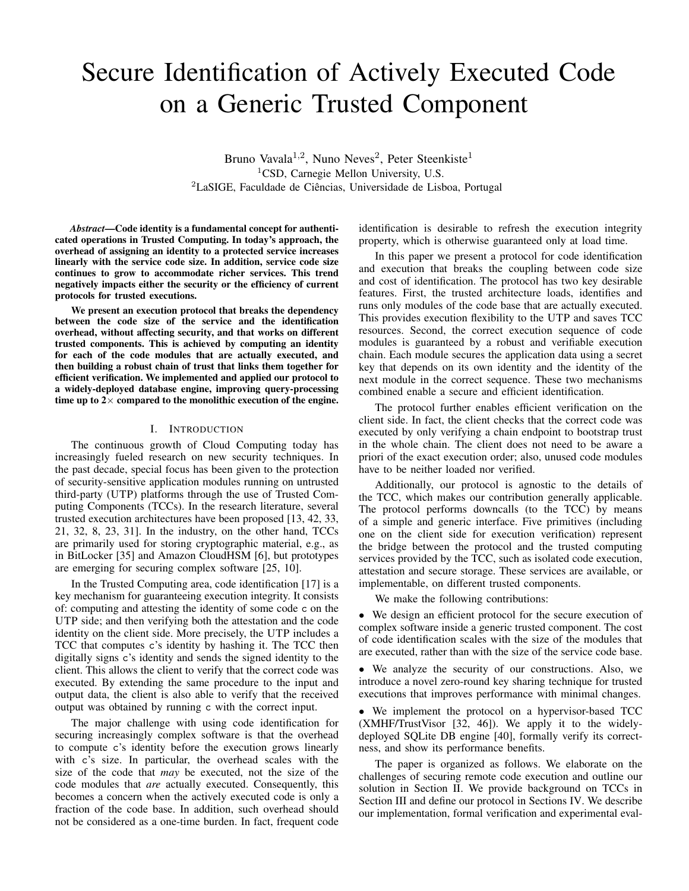# Secure Identification of Actively Executed Code on a Generic Trusted Component

Bruno Vavala<sup>1,2</sup>, Nuno Neves<sup>2</sup>, Peter Steenkiste<sup>1</sup> <sup>1</sup>CSD, Carnegie Mellon University, U.S.  ${}^{2}$ LaSIGE, Faculdade de Ciências, Universidade de Lisboa, Portugal

*Abstract*—Code identity is a fundamental concept for authenticated operations in Trusted Computing. In today's approach, the overhead of assigning an identity to a protected service increases linearly with the service code size. In addition, service code size continues to grow to accommodate richer services. This trend negatively impacts either the security or the efficiency of current protocols for trusted executions.

We present an execution protocol that breaks the dependency between the code size of the service and the identification overhead, without affecting security, and that works on different trusted components. This is achieved by computing an identity for each of the code modules that are actually executed, and then building a robust chain of trust that links them together for efficient verification. We implemented and applied our protocol to a widely-deployed database engine, improving query-processing time up to  $2 \times$  compared to the monolithic execution of the engine.

## I. INTRODUCTION

The continuous growth of Cloud Computing today has increasingly fueled research on new security techniques. In the past decade, special focus has been given to the protection of security-sensitive application modules running on untrusted third-party (UTP) platforms through the use of Trusted Computing Components (TCCs). In the research literature, several trusted execution architectures have been proposed [13, 42, 33, 21, 32, 8, 23, 31]. In the industry, on the other hand, TCCs are primarily used for storing cryptographic material, e.g., as in BitLocker [35] and Amazon CloudHSM [6], but prototypes are emerging for securing complex software [25, 10].

In the Trusted Computing area, code identification [17] is a key mechanism for guaranteeing execution integrity. It consists of: computing and attesting the identity of some code c on the UTP side; and then verifying both the attestation and the code identity on the client side. More precisely, the UTP includes a TCC that computes c's identity by hashing it. The TCC then digitally signs c's identity and sends the signed identity to the client. This allows the client to verify that the correct code was executed. By extending the same procedure to the input and output data, the client is also able to verify that the received output was obtained by running c with the correct input.

The major challenge with using code identification for securing increasingly complex software is that the overhead to compute c's identity before the execution grows linearly with c's size. In particular, the overhead scales with the size of the code that *may* be executed, not the size of the code modules that *are* actually executed. Consequently, this becomes a concern when the actively executed code is only a fraction of the code base. In addition, such overhead should not be considered as a one-time burden. In fact, frequent code identification is desirable to refresh the execution integrity property, which is otherwise guaranteed only at load time.

In this paper we present a protocol for code identification and execution that breaks the coupling between code size and cost of identification. The protocol has two key desirable features. First, the trusted architecture loads, identifies and runs only modules of the code base that are actually executed. This provides execution flexibility to the UTP and saves TCC resources. Second, the correct execution sequence of code modules is guaranteed by a robust and verifiable execution chain. Each module secures the application data using a secret key that depends on its own identity and the identity of the next module in the correct sequence. These two mechanisms combined enable a secure and efficient identification.

The protocol further enables efficient verification on the client side. In fact, the client checks that the correct code was executed by only verifying a chain endpoint to bootstrap trust in the whole chain. The client does not need to be aware a priori of the exact execution order; also, unused code modules have to be neither loaded nor verified.

Additionally, our protocol is agnostic to the details of the TCC, which makes our contribution generally applicable. The protocol performs downcalls (to the TCC) by means of a simple and generic interface. Five primitives (including one on the client side for execution verification) represent the bridge between the protocol and the trusted computing services provided by the TCC, such as isolated code execution, attestation and secure storage. These services are available, or implementable, on different trusted components.

We make the following contributions:

• We design an efficient protocol for the secure execution of complex software inside a generic trusted component. The cost of code identification scales with the size of the modules that are executed, rather than with the size of the service code base.

• We analyze the security of our constructions. Also, we introduce a novel zero-round key sharing technique for trusted executions that improves performance with minimal changes.

• We implement the protocol on a hypervisor-based TCC (XMHF/TrustVisor [32, 46]). We apply it to the widelydeployed SQLite DB engine [40], formally verify its correctness, and show its performance benefits.

The paper is organized as follows. We elaborate on the challenges of securing remote code execution and outline our solution in Section II. We provide background on TCCs in Section III and define our protocol in Sections IV. We describe our implementation, formal verification and experimental eval-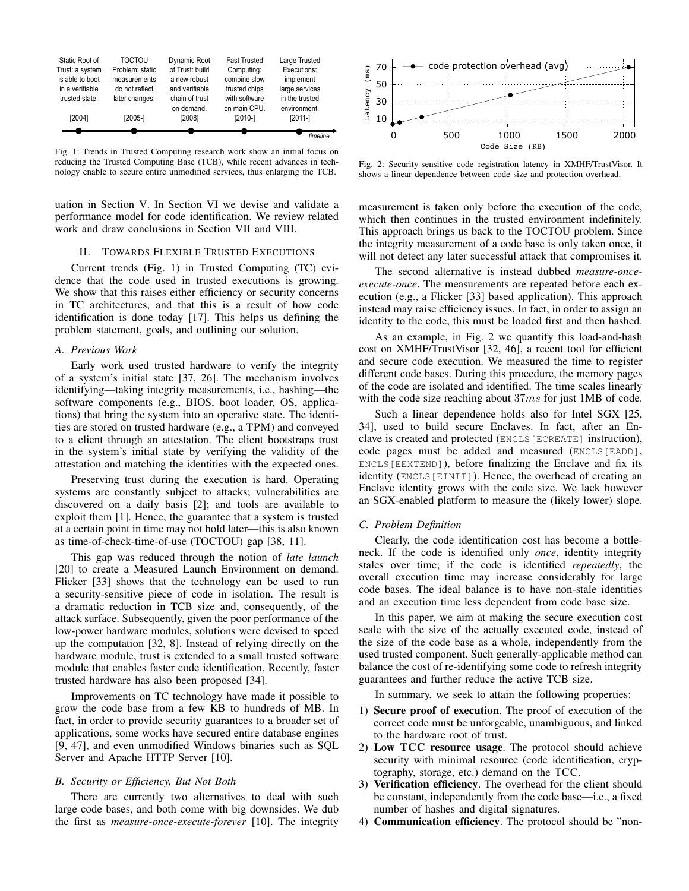

Fig. 1: Trends in Trusted Computing research work show an initial focus on reducing the Trusted Computing Base (TCB), while recent advances in technology enable to secure entire unmodified services, thus enlarging the TCB.

uation in Section V. In Section VI we devise and validate a performance model for code identification. We review related work and draw conclusions in Section VII and VIII.

# II. TOWARDS FLEXIBLE TRUSTED EXECUTIONS

Current trends (Fig. 1) in Trusted Computing (TC) evidence that the code used in trusted executions is growing. We show that this raises either efficiency or security concerns in TC architectures, and that this is a result of how code identification is done today [17]. This helps us defining the problem statement, goals, and outlining our solution.

#### *A. Previous Work*

Early work used trusted hardware to verify the integrity of a system's initial state [37, 26]. The mechanism involves identifying—taking integrity measurements, i.e., hashing—the software components (e.g., BIOS, boot loader, OS, applications) that bring the system into an operative state. The identities are stored on trusted hardware (e.g., a TPM) and conveyed to a client through an attestation. The client bootstraps trust in the system's initial state by verifying the validity of the attestation and matching the identities with the expected ones.

Preserving trust during the execution is hard. Operating systems are constantly subject to attacks; vulnerabilities are discovered on a daily basis [2]; and tools are available to exploit them [1]. Hence, the guarantee that a system is trusted at a certain point in time may not hold later—this is also known as time-of-check-time-of-use (TOCTOU) gap [38, 11].

This gap was reduced through the notion of *late launch* [20] to create a Measured Launch Environment on demand. Flicker [33] shows that the technology can be used to run a security-sensitive piece of code in isolation. The result is a dramatic reduction in TCB size and, consequently, of the attack surface. Subsequently, given the poor performance of the low-power hardware modules, solutions were devised to speed up the computation [32, 8]. Instead of relying directly on the hardware module, trust is extended to a small trusted software module that enables faster code identification. Recently, faster trusted hardware has also been proposed [34].

Improvements on TC technology have made it possible to grow the code base from a few KB to hundreds of MB. In fact, in order to provide security guarantees to a broader set of applications, some works have secured entire database engines [9, 47], and even unmodified Windows binaries such as SQL Server and Apache HTTP Server [10].

#### *B. Security or Efficiency, But Not Both*

There are currently two alternatives to deal with such large code bases, and both come with big downsides. We dub the first as *measure-once-execute-forever* [10]. The integrity



Fig. 2: Security-sensitive code registration latency in XMHF/TrustVisor. It shows a linear dependence between code size and protection overhead.

measurement is taken only before the execution of the code, which then continues in the trusted environment indefinitely. This approach brings us back to the TOCTOU problem. Since the integrity measurement of a code base is only taken once, it will not detect any later successful attack that compromises it.

The second alternative is instead dubbed *measure-onceexecute-once*. The measurements are repeated before each execution (e.g., a Flicker [33] based application). This approach instead may raise efficiency issues. In fact, in order to assign an identity to the code, this must be loaded first and then hashed.

As an example, in Fig. 2 we quantify this load-and-hash cost on XMHF/TrustVisor [32, 46], a recent tool for efficient and secure code execution. We measured the time to register different code bases. During this procedure, the memory pages of the code are isolated and identified. The time scales linearly with the code size reaching about  $37ms$  for just 1MB of code.

Such a linear dependence holds also for Intel SGX [25, 34], used to build secure Enclaves. In fact, after an Enclave is created and protected (ENCLS[ECREATE] instruction), code pages must be added and measured (ENCLS[EADD], ENCLS[EEXTEND]), before finalizing the Enclave and fix its identity (ENCLS[EINIT]). Hence, the overhead of creating an Enclave identity grows with the code size. We lack however an SGX-enabled platform to measure the (likely lower) slope.

#### *C. Problem Definition*

Clearly, the code identification cost has become a bottleneck. If the code is identified only *once*, identity integrity stales over time; if the code is identified *repeatedly*, the overall execution time may increase considerably for large code bases. The ideal balance is to have non-stale identities and an execution time less dependent from code base size.

In this paper, we aim at making the secure execution cost scale with the size of the actually executed code, instead of the size of the code base as a whole, independently from the used trusted component. Such generally-applicable method can balance the cost of re-identifying some code to refresh integrity guarantees and further reduce the active TCB size.

In summary, we seek to attain the following properties:

- 1) Secure proof of execution. The proof of execution of the correct code must be unforgeable, unambiguous, and linked to the hardware root of trust.
- 2) Low TCC resource usage. The protocol should achieve security with minimal resource (code identification, cryptography, storage, etc.) demand on the TCC.
- 3) Verification efficiency. The overhead for the client should be constant, independently from the code base—i.e., a fixed number of hashes and digital signatures.
- 4) Communication efficiency. The protocol should be "non-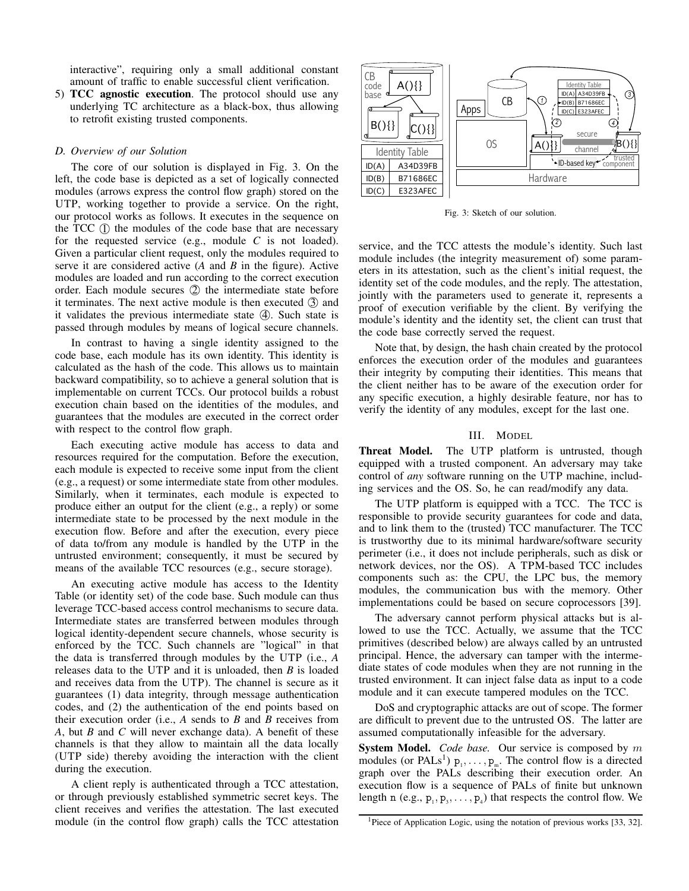interactive", requiring only a small additional constant amount of traffic to enable successful client verification.

5) TCC agnostic execution. The protocol should use any underlying TC architecture as a black-box, thus allowing to retrofit existing trusted components.

#### *D. Overview of our Solution*

The core of our solution is displayed in Fig. 3. On the left, the code base is depicted as a set of logically connected modules (arrows express the control flow graph) stored on the UTP, working together to provide a service. On the right, our protocol works as follows. It executes in the sequence on the  $TCC$   $(I)$  the modules of the code base that are necessary for the requested service (e.g., module *C* is not loaded). Given a particular client request, only the modules required to serve it are considered active (*A* and *B* in the figure). Active modules are loaded and run according to the correct execution order. Each module secures 2 the intermediate state before it terminates. The next active module is then executed  $\Im$  and it validates the previous intermediate state  $(4)$ . Such state is passed through modules by means of logical secure channels.

In contrast to having a single identity assigned to the code base, each module has its own identity. This identity is calculated as the hash of the code. This allows us to maintain backward compatibility, so to achieve a general solution that is implementable on current TCCs. Our protocol builds a robust execution chain based on the identities of the modules, and guarantees that the modules are executed in the correct order with respect to the control flow graph.

Each executing active module has access to data and resources required for the computation. Before the execution, each module is expected to receive some input from the client (e.g., a request) or some intermediate state from other modules. Similarly, when it terminates, each module is expected to produce either an output for the client (e.g., a reply) or some intermediate state to be processed by the next module in the execution flow. Before and after the execution, every piece of data to/from any module is handled by the UTP in the untrusted environment; consequently, it must be secured by means of the available TCC resources (e.g., secure storage).

An executing active module has access to the Identity Table (or identity set) of the code base. Such module can thus leverage TCC-based access control mechanisms to secure data. Intermediate states are transferred between modules through logical identity-dependent secure channels, whose security is enforced by the TCC. Such channels are "logical" in that the data is transferred through modules by the UTP (i.e., *A* releases data to the UTP and it is unloaded, then *B* is loaded and receives data from the UTP). The channel is secure as it guarantees (1) data integrity, through message authentication codes, and (2) the authentication of the end points based on their execution order (i.e., *A* sends to *B* and *B* receives from *A*, but *B* and *C* will never exchange data). A benefit of these channels is that they allow to maintain all the data locally (UTP side) thereby avoiding the interaction with the client during the execution.

A client reply is authenticated through a TCC attestation, or through previously established symmetric secret keys. The client receives and verifies the attestation. The last executed module (in the control flow graph) calls the TCC attestation



Fig. 3: Sketch of our solution.

service, and the TCC attests the module's identity. Such last module includes (the integrity measurement of) some parameters in its attestation, such as the client's initial request, the identity set of the code modules, and the reply. The attestation, jointly with the parameters used to generate it, represents a proof of execution verifiable by the client. By verifying the module's identity and the identity set, the client can trust that the code base correctly served the request.

Note that, by design, the hash chain created by the protocol enforces the execution order of the modules and guarantees their integrity by computing their identities. This means that the client neither has to be aware of the execution order for any specific execution, a highly desirable feature, nor has to verify the identity of any modules, except for the last one.

### III. MODEL

Threat Model. The UTP platform is untrusted, though equipped with a trusted component. An adversary may take control of *any* software running on the UTP machine, including services and the OS. So, he can read/modify any data.

The UTP platform is equipped with a TCC. The TCC is responsible to provide security guarantees for code and data, and to link them to the (trusted) TCC manufacturer. The TCC is trustworthy due to its minimal hardware/software security perimeter (i.e., it does not include peripherals, such as disk or network devices, nor the OS). A TPM-based TCC includes components such as: the CPU, the LPC bus, the memory modules, the communication bus with the memory. Other implementations could be based on secure coprocessors [39].

The adversary cannot perform physical attacks but is allowed to use the TCC. Actually, we assume that the TCC primitives (described below) are always called by an untrusted principal. Hence, the adversary can tamper with the intermediate states of code modules when they are not running in the trusted environment. It can inject false data as input to a code module and it can execute tampered modules on the TCC.

DoS and cryptographic attacks are out of scope. The former are difficult to prevent due to the untrusted OS. The latter are assumed computationally infeasible for the adversary.

System Model. *Code base*. Our service is composed by m modules (or PALs<sup>1</sup>)  $p_1, \ldots, p_m$ . The control flow is a directed graph over the PALs describing their execution order. An execution flow is a sequence of PALs of finite but unknown length n (e.g.,  $p_1, p_3, \ldots, p_4$ ) that respects the control flow. We

<sup>&</sup>lt;sup>1</sup>Piece of Application Logic, using the notation of previous works [33, 32].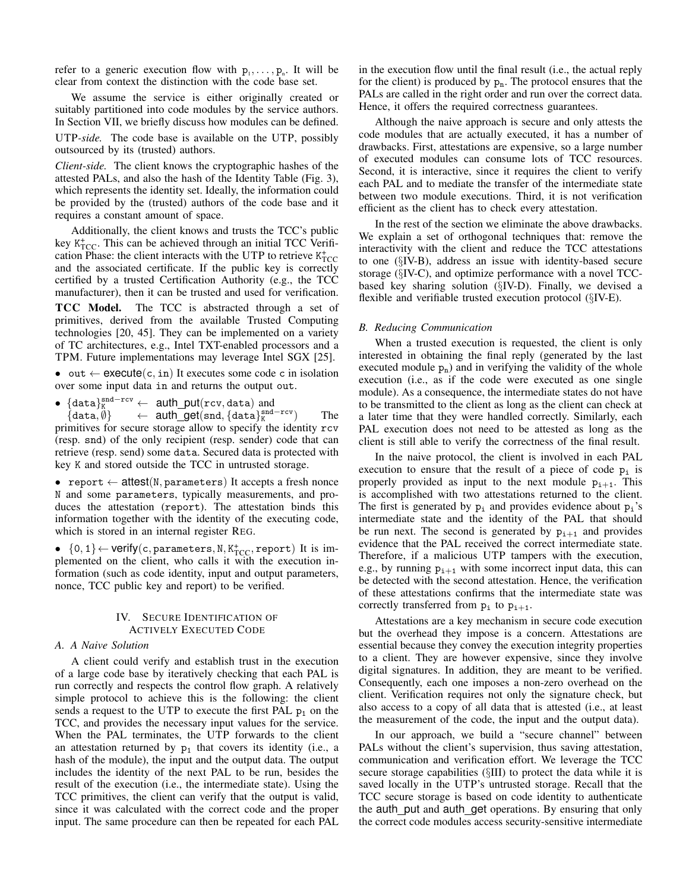refer to a generic execution flow with  $p_1, \ldots, p_n$ . It will be clear from context the distinction with the code base set.

We assume the service is either originally created or suitably partitioned into code modules by the service authors. In Section VII, we briefly discuss how modules can be defined.

UTP*-side.* The code base is available on the UTP, possibly outsourced by its (trusted) authors.

*Client-side.* The client knows the cryptographic hashes of the attested PALs, and also the hash of the Identity Table (Fig. 3), which represents the identity set. Ideally, the information could be provided by the (trusted) authors of the code base and it requires a constant amount of space.

Additionally, the client knows and trusts the TCC's public key  $K_{\text{TCC}}^{+}$ . This can be achieved through an initial TCC Verification Phase: the client interacts with the UTP to retrieve  $K_{\text{TCC}}^{+}$ and the associated certificate. If the public key is correctly certified by a trusted Certification Authority (e.g., the TCC manufacturer), then it can be trusted and used for verification.

TCC Model. The TCC is abstracted through a set of primitives, derived from the available Trusted Computing technologies [20, 45]. They can be implemented on a variety of TC architectures, e.g., Intel TXT-enabled processors and a TPM. Future implementations may leverage Intel SGX [25].

• out  $\leftarrow$  execute $(c, in)$  It executes some code c in isolation over some input data in and returns the output out.

• {data}<sup>snd-rcv</sup> ← auth\_put(rcv, data) and

 $\{data, \hat{\emptyset}\}$  ← auth\_get(snd,  $\{data\}_{K}^{snd - rev}$ ) The primitives for secure storage allow to specify the identity rcv (resp. snd) of the only recipient (resp. sender) code that can retrieve (resp. send) some data. Secured data is protected with key K and stored outside the TCC in untrusted storage.

• report  $\leftarrow$  attest(N, parameters) It accepts a fresh nonce N and some parameters, typically measurements, and produces the attestation (report). The attestation binds this information together with the identity of the executing code, which is stored in an internal register REG.

•  ${0, 1}$  ← verify(c, parameters, N, K<sup>+</sup><sub>TCC</sub>, report) It is implemented on the client, who calls it with the execution information (such as code identity, input and output parameters, nonce, TCC public key and report) to be verified.

# IV. SECURE IDENTIFICATION OF ACTIVELY EXECUTED CODE

# *A. A Naive Solution*

A client could verify and establish trust in the execution of a large code base by iteratively checking that each PAL is run correctly and respects the control flow graph. A relatively simple protocol to achieve this is the following: the client sends a request to the UTP to execute the first PAL  $p_1$  on the TCC, and provides the necessary input values for the service. When the PAL terminates, the UTP forwards to the client an attestation returned by  $p_1$  that covers its identity (i.e., a hash of the module), the input and the output data. The output includes the identity of the next PAL to be run, besides the result of the execution (i.e., the intermediate state). Using the TCC primitives, the client can verify that the output is valid, since it was calculated with the correct code and the proper input. The same procedure can then be repeated for each PAL

in the execution flow until the final result (i.e., the actual reply for the client) is produced by  $p_n$ . The protocol ensures that the PALs are called in the right order and run over the correct data. Hence, it offers the required correctness guarantees.

Although the naive approach is secure and only attests the code modules that are actually executed, it has a number of drawbacks. First, attestations are expensive, so a large number of executed modules can consume lots of TCC resources. Second, it is interactive, since it requires the client to verify each PAL and to mediate the transfer of the intermediate state between two module executions. Third, it is not verification efficient as the client has to check every attestation.

In the rest of the section we eliminate the above drawbacks. We explain a set of orthogonal techniques that: remove the interactivity with the client and reduce the TCC attestations to one (§IV-B), address an issue with identity-based secure storage (§IV-C), and optimize performance with a novel TCCbased key sharing solution (§IV-D). Finally, we devised a flexible and verifiable trusted execution protocol (§IV-E).

## *B. Reducing Communication*

When a trusted execution is requested, the client is only interested in obtaining the final reply (generated by the last executed module  $p_n$ ) and in verifying the validity of the whole execution (i.e., as if the code were executed as one single module). As a consequence, the intermediate states do not have to be transmitted to the client as long as the client can check at a later time that they were handled correctly. Similarly, each PAL execution does not need to be attested as long as the client is still able to verify the correctness of the final result.

In the naive protocol, the client is involved in each PAL execution to ensure that the result of a piece of code  $p_i$  is properly provided as input to the next module  $p_{i+1}$ . This is accomplished with two attestations returned to the client. The first is generated by  $p_i$  and provides evidence about  $p_i$ 's intermediate state and the identity of the PAL that should be run next. The second is generated by  $p_{i+1}$  and provides evidence that the PAL received the correct intermediate state. Therefore, if a malicious UTP tampers with the execution, e.g., by running  $p_{i+1}$  with some incorrect input data, this can be detected with the second attestation. Hence, the verification of these attestations confirms that the intermediate state was correctly transferred from  $p_i$  to  $p_{i+1}$ .

Attestations are a key mechanism in secure code execution but the overhead they impose is a concern. Attestations are essential because they convey the execution integrity properties to a client. They are however expensive, since they involve digital signatures. In addition, they are meant to be verified. Consequently, each one imposes a non-zero overhead on the client. Verification requires not only the signature check, but also access to a copy of all data that is attested (i.e., at least the measurement of the code, the input and the output data).

In our approach, we build a "secure channel" between PALs without the client's supervision, thus saving attestation, communication and verification effort. We leverage the TCC secure storage capabilities (§III) to protect the data while it is saved locally in the UTP's untrusted storage. Recall that the TCC secure storage is based on code identity to authenticate the auth put and auth get operations. By ensuring that only the correct code modules access security-sensitive intermediate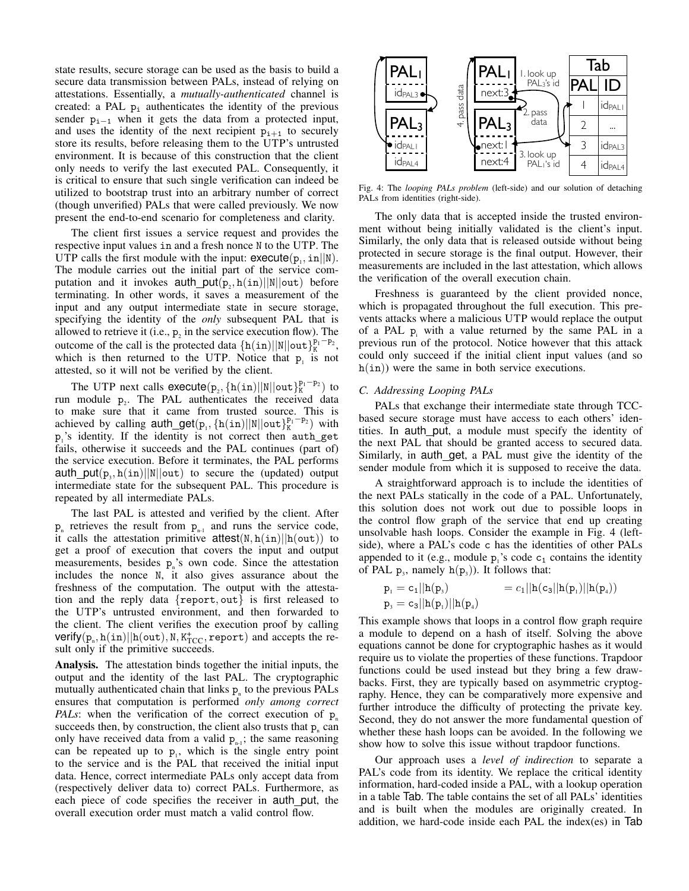state results, secure storage can be used as the basis to build a secure data transmission between PALs, instead of relying on attestations. Essentially, a *mutually-authenticated* channel is created: a PAL  $p_i$  authenticates the identity of the previous sender  $p_{i-1}$  when it gets the data from a protected input, and uses the identity of the next recipient  $p_{i+1}$  to securely store its results, before releasing them to the UTP's untrusted environment. It is because of this construction that the client only needs to verify the last executed PAL. Consequently, it is critical to ensure that such single verification can indeed be utilized to bootstrap trust into an arbitrary number of correct (though unverified) PALs that were called previously. We now present the end-to-end scenario for completeness and clarity.

The client first issues a service request and provides the respective input values in and a fresh nonce N to the UTP. The UTP calls the first module with the input:  $execute(p_1, in||N))$ . The module carries out the initial part of the service computation and it invokes  $\text{auth\_put}(p_2, h(in)||N||\text{out})$  before terminating. In other words, it saves a measurement of the input and any output intermediate state in secure storage, specifying the identity of the *only* subsequent PAL that is allowed to retrieve it (i.e.,  $p_2$  in the service execution flow). The outcome of the call is the protected data  $\{h(in)||N||$ out $\}_{K}^{p_1-p_2}$ , which is then returned to the UTP. Notice that  $p_1$  is not attested, so it will not be verified by the client.

The UTP next calls  $execute(p_2, \{h(in)||N||out\}_{K}^{p_1-p_2})$  to run module  $p_2$ . The PAL authenticates the received data to make sure that it came from trusted source. This is achieved by calling  $\text{auth\_get}(p_1, \{h(\text{in})||N|| \text{out}\}_K^{p_1-p_2})$  with  $p_1$ 's identity. If the identity is not correct then auth\_get fails, otherwise it succeeds and the PAL continues (part of) the service execution. Before it terminates, the PAL performs auth  $put(p_3, h(in)||N||out)$  to secure the (updated) output intermediate state for the subsequent PAL. This procedure is repeated by all intermediate PALs.

The last PAL is attested and verified by the client. After  $p_{n}$  retrieves the result from  $p_{n-1}$  and runs the service code, it calls the attestation primitive  $attest(N, h(in)||h(out))$  to get a proof of execution that covers the input and output measurements, besides  $p_n$ 's own code. Since the attestation includes the nonce N, it also gives assurance about the freshness of the computation. The output with the attestation and the reply data {report, out} is first released to the UTP's untrusted environment, and then forwarded to the client. The client verifies the execution proof by calling  $\textsf{verify}(p_{\scriptscriptstyle \sf n},\texttt{h}(\texttt{in})||\texttt{h}(\texttt{out}),\texttt{N},\texttt{K}^+_{\text{TCC}},\texttt{report})$  and accepts the result only if the primitive succeeds.

Analysis. The attestation binds together the initial inputs, the output and the identity of the last PAL. The cryptographic mutually authenticated chain that links  $p_{n}$  to the previous PALs ensures that computation is performed *only among correct PALs*: when the verification of the correct execution of  $p_n$ succeeds then, by construction, the client also trusts that  $p_n$  can only have received data from a valid  $p_{n-1}$ ; the same reasoning can be repeated up to  $p_1$ , which is the single entry point to the service and is the PAL that received the initial input data. Hence, correct intermediate PALs only accept data from (respectively deliver data to) correct PALs. Furthermore, as each piece of code specifies the receiver in auth put, the overall execution order must match a valid control flow.



Fig. 4: The *looping PALs problem* (left-side) and our solution of detaching PALs from identities (right-side).

The only data that is accepted inside the trusted environment without being initially validated is the client's input. Similarly, the only data that is released outside without being protected in secure storage is the final output. However, their measurements are included in the last attestation, which allows the verification of the overall execution chain.

Freshness is guaranteed by the client provided nonce, which is propagated throughout the full execution. This prevents attacks where a malicious UTP would replace the output of a PAL  $p_i$  with a value returned by the same PAL in a previous run of the protocol. Notice however that this attack could only succeed if the initial client input values (and so  $h(in)$ ) were the same in both service executions.

## *C. Addressing Looping PALs*

PALs that exchange their intermediate state through TCCbased secure storage must have access to each others' identities. In auth put, a module must specify the identity of the next PAL that should be granted access to secured data. Similarly, in auth get, a PAL must give the identity of the sender module from which it is supposed to receive the data.

A straightforward approach is to include the identities of the next PALs statically in the code of a PAL. Unfortunately, this solution does not work out due to possible loops in the control flow graph of the service that end up creating unsolvable hash loops. Consider the example in Fig. 4 (leftside), where a PAL's code c has the identities of other PALs appended to it (e.g., module  $p_1$ 's code  $c_1$  contains the identity of PAL  $p_3$ , namely  $h(p_3)$ ). It follows that:

$$
p_1 = c_1 ||h(p_3) = c_1 ||h(c_3||h(p_1)||h(p_4))
$$
  

$$
p_3 = c_3 ||h(p_1)||h(p_4)
$$

This example shows that loops in a control flow graph require a module to depend on a hash of itself. Solving the above equations cannot be done for cryptographic hashes as it would require us to violate the properties of these functions. Trapdoor functions could be used instead but they bring a few drawbacks. First, they are typically based on asymmetric cryptography. Hence, they can be comparatively more expensive and further introduce the difficulty of protecting the private key. Second, they do not answer the more fundamental question of whether these hash loops can be avoided. In the following we show how to solve this issue without trapdoor functions.

Our approach uses a *level of indirection* to separate a PAL's code from its identity. We replace the critical identity information, hard-coded inside a PAL, with a lookup operation in a table Tab. The table contains the set of all PALs' identities and is built when the modules are originally created. In addition, we hard-code inside each PAL the index(es) in Tab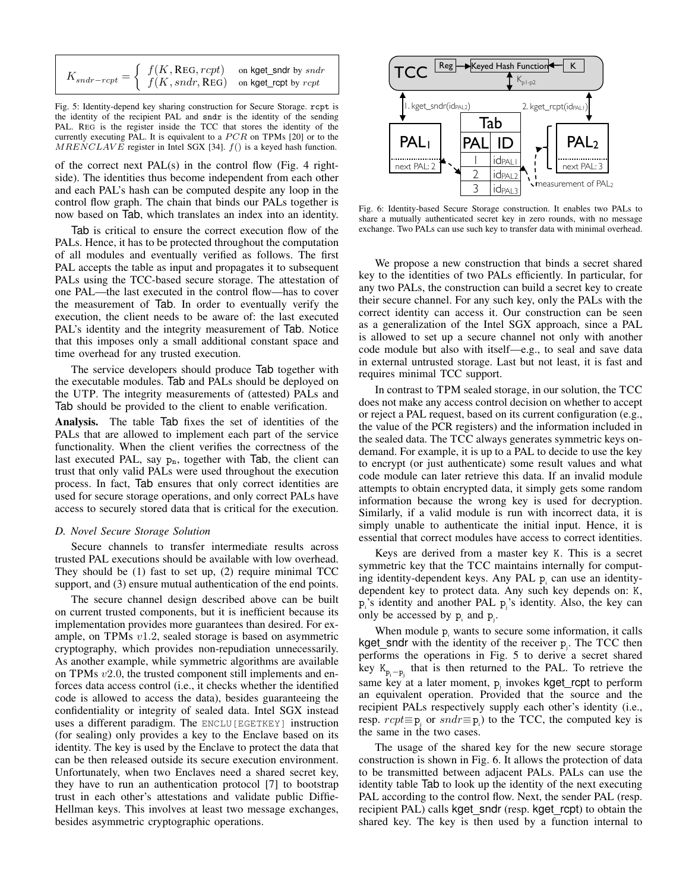$$
K_{\mathit{sndr-rcpt}} = \left\{ \begin{array}{ll} f(K, \texttt{REG}, \textit{rcpt}) & \text{on~kget\_sndr~by~\mathit{sndr}} \\ f(K, \textit{sndr}, \texttt{REG}) & \text{on~kget\_rcpt~by~\mathit{rcpt}} \end{array} \right.
$$

Fig. 5: Identity-depend key sharing construction for Secure Storage. rcpt is the identity of the recipient PAL and sndr is the identity of the sending PAL. REG is the register inside the TCC that stores the identity of the currently executing PAL. It is equivalent to a  $PCR$  on TPMs [20] or to the  $MRENCLAVE$  register in Intel SGX [34].  $f()$  is a keyed hash function.

of the correct next  $PAL(s)$  in the control flow (Fig. 4 rightside). The identities thus become independent from each other and each PAL's hash can be computed despite any loop in the control flow graph. The chain that binds our PALs together is now based on Tab, which translates an index into an identity.

Tab is critical to ensure the correct execution flow of the PALs. Hence, it has to be protected throughout the computation of all modules and eventually verified as follows. The first PAL accepts the table as input and propagates it to subsequent PALs using the TCC-based secure storage. The attestation of one PAL—the last executed in the control flow—has to cover the measurement of Tab. In order to eventually verify the execution, the client needs to be aware of: the last executed PAL's identity and the integrity measurement of Tab. Notice that this imposes only a small additional constant space and time overhead for any trusted execution.

The service developers should produce Tab together with the executable modules. Tab and PALs should be deployed on the UTP. The integrity measurements of (attested) PALs and Tab should be provided to the client to enable verification.

Analysis. The table Tab fixes the set of identities of the PALs that are allowed to implement each part of the service functionality. When the client verifies the correctness of the last executed PAL, say  $p_n$ , together with Tab, the client can trust that only valid PALs were used throughout the execution process. In fact, Tab ensures that only correct identities are used for secure storage operations, and only correct PALs have access to securely stored data that is critical for the execution.

## *D. Novel Secure Storage Solution*

Secure channels to transfer intermediate results across trusted PAL executions should be available with low overhead. They should be (1) fast to set up, (2) require minimal TCC support, and (3) ensure mutual authentication of the end points.

The secure channel design described above can be built on current trusted components, but it is inefficient because its implementation provides more guarantees than desired. For example, on TPMs v1.2, sealed storage is based on asymmetric cryptography, which provides non-repudiation unnecessarily. As another example, while symmetric algorithms are available on TPMs v2.0, the trusted component still implements and enforces data access control (i.e., it checks whether the identified code is allowed to access the data), besides guaranteeing the confidentiality or integrity of sealed data. Intel SGX instead uses a different paradigm. The ENCLU[EGETKEY] instruction (for sealing) only provides a key to the Enclave based on its identity. The key is used by the Enclave to protect the data that can be then released outside its secure execution environment. Unfortunately, when two Enclaves need a shared secret key, they have to run an authentication protocol [7] to bootstrap trust in each other's attestations and validate public Diffie-Hellman keys. This involves at least two message exchanges, besides asymmetric cryptographic operations.



Fig. 6: Identity-based Secure Storage construction. It enables two PALs to share a mutually authenticated secret key in zero rounds, with no message exchange. Two PALs can use such key to transfer data with minimal overhead.

We propose a new construction that binds a secret shared key to the identities of two PALs efficiently. In particular, for any two PALs, the construction can build a secret key to create their secure channel. For any such key, only the PALs with the correct identity can access it. Our construction can be seen as a generalization of the Intel SGX approach, since a PAL is allowed to set up a secure channel not only with another code module but also with itself—e.g., to seal and save data in external untrusted storage. Last but not least, it is fast and requires minimal TCC support.

In contrast to TPM sealed storage, in our solution, the TCC does not make any access control decision on whether to accept or reject a PAL request, based on its current configuration (e.g., the value of the PCR registers) and the information included in the sealed data. The TCC always generates symmetric keys ondemand. For example, it is up to a PAL to decide to use the key to encrypt (or just authenticate) some result values and what code module can later retrieve this data. If an invalid module attempts to obtain encrypted data, it simply gets some random information because the wrong key is used for decryption. Similarly, if a valid module is run with incorrect data, it is simply unable to authenticate the initial input. Hence, it is essential that correct modules have access to correct identities.

Keys are derived from a master key K. This is a secret symmetric key that the TCC maintains internally for computing identity-dependent keys. Any PAL p<sub>i</sub> can use an identitydependent key to protect data. Any such key depends on: K,  $p_i$ 's identity and another PAL  $p_j$ 's identity. Also, the key can only be accessed by  $p_i$  and  $p_j$ .

When module  $p_i$  wants to secure some information, it calls kget\_sndr with the identity of the receiver  $p_i$ . The TCC then performs the operations in Fig. 5 to derive a secret shared key  $K_{p_i-p_j}$  that is then returned to the PAL. To retrieve the same key at a later moment,  $p_j$  invokes kget\_rcpt to perform an equivalent operation. Provided that the source and the recipient PALs respectively supply each other's identity (i.e., resp.  $rcpt \equiv p_i$  or  $snd \equiv p_i$ ) to the TCC, the computed key is the same in the two cases.

The usage of the shared key for the new secure storage construction is shown in Fig. 6. It allows the protection of data to be transmitted between adjacent PALs. PALs can use the identity table Tab to look up the identity of the next executing PAL according to the control flow. Next, the sender PAL (resp. recipient PAL) calls kget sndr (resp. kget rcpt) to obtain the shared key. The key is then used by a function internal to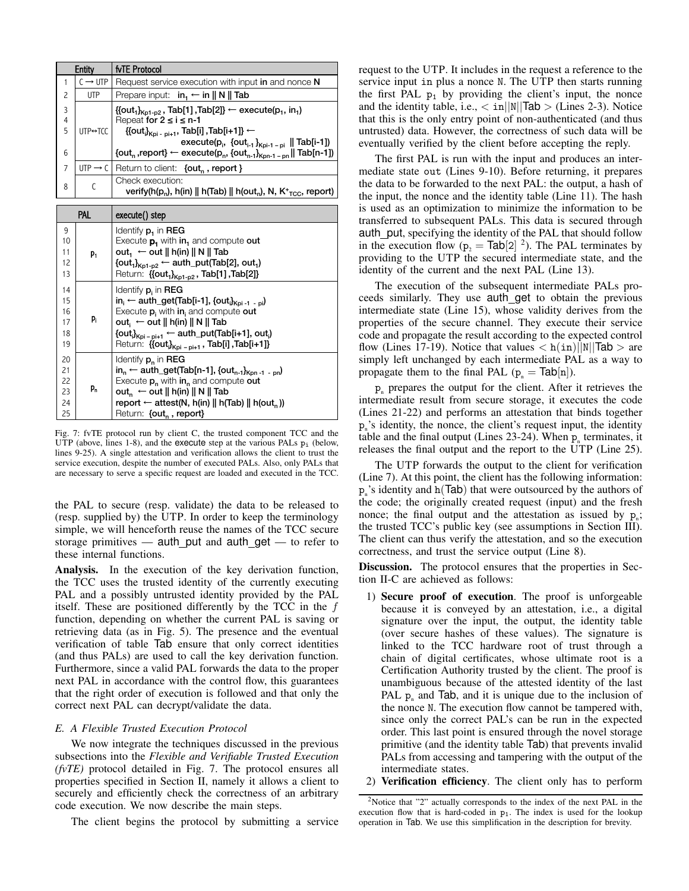| Entity      |                           | fvTE Protocol                                                                                                                                                                                                                                                                                 |  |  |
|-------------|---------------------------|-----------------------------------------------------------------------------------------------------------------------------------------------------------------------------------------------------------------------------------------------------------------------------------------------|--|--|
|             | $C \rightarrow UTP$       | Request service execution with input in and nonce N                                                                                                                                                                                                                                           |  |  |
| 2           | <b>UTP</b>                | Prepare input: $in_1 \leftarrow in    N    Tab$                                                                                                                                                                                                                                               |  |  |
| 3<br>4<br>5 | $UTP \leftrightarrow TCC$ | {{out <sub>1</sub> } <sub>Kp1-p2</sub> , Tab[1],Tab[2]} ← execute(p <sub>1</sub> , in <sub>1</sub> )<br>Repeat for $2 \leq i \leq n-1$<br>{{out <sub>i</sub> } <sub>Kpi - pi+1</sub> , Tab[i], Tab[i+1]} ←<br>execute(p <sub>i</sub> , {out <sub>i-1</sub> } <sub>Kpi-1-pi</sub>    Tab[i-1]) |  |  |
| 6           |                           | {out <sub>n</sub> , report} $\leftarrow$ execute(p <sub>n</sub> , {out <sub>n-1</sub> } <sub>Kpn-1-pn</sub>    Tab[n-1])                                                                                                                                                                      |  |  |
| 7           | $UTP \rightarrow C$       | Return to client: {out,, report }                                                                                                                                                                                                                                                             |  |  |
| 8           |                           | Check execution:<br>verify(h(p <sub>n</sub> ), h(in)    h(Tab)    h(out <sub>n</sub> ), N, K <sup>+</sup> <sub>TCC</sub> , report)                                                                                                                                                            |  |  |

| PAL                              |       | execute() step                                                                                                                                                                                                                                                                                                                                               |
|----------------------------------|-------|--------------------------------------------------------------------------------------------------------------------------------------------------------------------------------------------------------------------------------------------------------------------------------------------------------------------------------------------------------------|
| 9<br>10<br>11<br>12<br>13        | $P_1$ | Identify <b>p.</b> in <b>REG</b><br>Execute $p_1$ with in and compute out<br>out <sub>1</sub> $\leftarrow$ out    h(in)    N    Tab<br>$\{\text{out}_1\}_{K \text{p1-p2}}$ $\leftarrow$ auth_put(Tab[2], out <sub>1</sub> )<br>Return: {{out <sub>1</sub> } <sub>Kp1-p2</sub> , Tab[1], Tab[2]}                                                              |
| 14<br>15<br>16<br>17<br>18<br>19 | P.    | Identify $p_i$ in REG<br>$in_i \leftarrow$ auth_get(Tab[i-1], {out $_{ikpi-1}$ , $_{pi}$ )<br>Execute $p_i$ with in and compute out<br>$out_i \leftarrow out    h(in)    N    Tab$<br>$\{\text{out}_{i}\}_{Kpi-pi+1} \leftarrow \text{auth\_put}(\text{Tab}[i+1], \text{out}_{i})$<br>Return: {{out <sub>i</sub> } <sub>Kpi - pi+1</sub> , Tab[i], Tab[i+1]} |
| 20<br>21<br>22<br>23<br>24<br>25 | p,    | Identify $p_n$ in REG<br>in <sub>n</sub> $\leftarrow$ auth_get(Tab[n-1], {out <sub>n-1</sub> } <sub>Kpn-1-pn</sub> )<br>Execute $p_n$ with in <sub>n</sub> and compute out<br>out <sub>n</sub> $\leftarrow$ out $\parallel$ h(in) $\parallel$ N $\parallel$ Tab<br>report $\leftarrow$ attest(N, h(in)    h(Tab)    h(out, ))<br>Return: {out,, report}      |

Fig. 7: fvTE protocol run by client C, the trusted component TCC and the UTP (above, lines 1-8), and the execute step at the various PALs  $p_i$  (below, lines 9-25). A single attestation and verification allows the client to trust the service execution, despite the number of executed PALs. Also, only PALs that are necessary to serve a specific request are loaded and executed in the TCC.

the PAL to secure (resp. validate) the data to be released to (resp. supplied by) the UTP. In order to keep the terminology simple, we will henceforth reuse the names of the TCC secure storage primitives — auth\_put and auth\_get — to refer to these internal functions.

Analysis. In the execution of the key derivation function, the TCC uses the trusted identity of the currently executing PAL and a possibly untrusted identity provided by the PAL itself. These are positioned differently by the TCC in the  $f$ function, depending on whether the current PAL is saving or retrieving data (as in Fig. 5). The presence and the eventual verification of table Tab ensure that only correct identities (and thus PALs) are used to call the key derivation function. Furthermore, since a valid PAL forwards the data to the proper next PAL in accordance with the control flow, this guarantees that the right order of execution is followed and that only the correct next PAL can decrypt/validate the data.

# *E. A Flexible Trusted Execution Protocol*

We now integrate the techniques discussed in the previous subsections into the *Flexible and Verifiable Trusted Execution (fvTE)* protocol detailed in Fig. 7. The protocol ensures all properties specified in Section II, namely it allows a client to securely and efficiently check the correctness of an arbitrary code execution. We now describe the main steps.

The client begins the protocol by submitting a service

request to the UTP. It includes in the request a reference to the service input in plus a nonce N. The UTP then starts running the first PAL  $p_1$  by providing the client's input, the nonce and the identity table, i.e.,  $\langle \sin \vert \vert N \vert \vert$ Tab  $>$  (Lines 2-3). Notice that this is the only entry point of non-authenticated (and thus untrusted) data. However, the correctness of such data will be eventually verified by the client before accepting the reply.

The first PAL is run with the input and produces an intermediate state out (Lines 9-10). Before returning, it prepares the data to be forwarded to the next PAL: the output, a hash of the input, the nonce and the identity table (Line 11). The hash is used as an optimization to minimize the information to be transferred to subsequent PALs. This data is secured through auth\_put, specifying the identity of the PAL that should follow in the execution flow ( $p_2 = \text{Tab}[2]$ <sup>2</sup>). The PAL terminates by providing to the UTP the secured intermediate state, and the identity of the current and the next PAL (Line 13).

The execution of the subsequent intermediate PALs proceeds similarly. They use auth get to obtain the previous intermediate state (Line 15), whose validity derives from the properties of the secure channel. They execute their service code and propagate the result according to the expected control flow (Lines 17-19). Notice that values  $\langle h(in)||N||\text{Tab} > are$ simply left unchanged by each intermediate PAL as a way to propagate them to the final PAL ( $p_n = \text{Tab}[n]$ ).

 $p_n$  prepares the output for the client. After it retrieves the intermediate result from secure storage, it executes the code (Lines 21-22) and performs an attestation that binds together pn 's identity, the nonce, the client's request input, the identity table and the final output (Lines  $23-24$ ). When  $p_{n}$  terminates, it releases the final output and the report to the UTP (Line 25).

The UTP forwards the output to the client for verification (Line 7). At this point, the client has the following information:  $p_n$ 's identity and  $h(Tab)$  that were outsourced by the authors of the code; the originally created request (input) and the fresh nonce; the final output and the attestation as issued by  $p_n$ ; the trusted TCC's public key (see assumptions in Section III). The client can thus verify the attestation, and so the execution correctness, and trust the service output (Line 8).

Discussion. The protocol ensures that the properties in Section II-C are achieved as follows:

- 1) Secure proof of execution. The proof is unforgeable because it is conveyed by an attestation, i.e., a digital signature over the input, the output, the identity table (over secure hashes of these values). The signature is linked to the TCC hardware root of trust through a chain of digital certificates, whose ultimate root is a Certification Authority trusted by the client. The proof is unambiguous because of the attested identity of the last PAL  $p_n$  and Tab, and it is unique due to the inclusion of the nonce N. The execution flow cannot be tampered with, since only the correct PAL's can be run in the expected order. This last point is ensured through the novel storage primitive (and the identity table Tab) that prevents invalid PALs from accessing and tampering with the output of the intermediate states.
- 2) Verification efficiency. The client only has to perform

<sup>2</sup>Notice that "2" actually corresponds to the index of the next PAL in the execution flow that is hard-coded in  $p_1$ . The index is used for the lookup operation in Tab. We use this simplification in the description for brevity.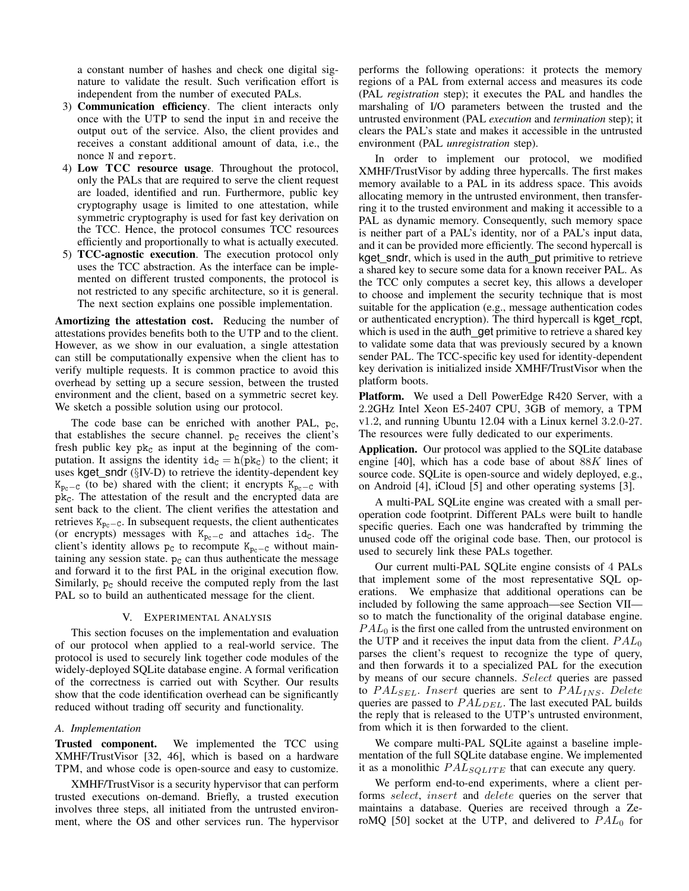a constant number of hashes and check one digital signature to validate the result. Such verification effort is independent from the number of executed PALs.

- 3) Communication efficiency. The client interacts only once with the UTP to send the input in and receive the output out of the service. Also, the client provides and receives a constant additional amount of data, i.e., the nonce N and report.
- 4) Low TCC resource usage. Throughout the protocol, only the PALs that are required to serve the client request are loaded, identified and run. Furthermore, public key cryptography usage is limited to one attestation, while symmetric cryptography is used for fast key derivation on the TCC. Hence, the protocol consumes TCC resources efficiently and proportionally to what is actually executed.
- 5) TCC-agnostic execution. The execution protocol only uses the TCC abstraction. As the interface can be implemented on different trusted components, the protocol is not restricted to any specific architecture, so it is general. The next section explains one possible implementation.

Amortizing the attestation cost. Reducing the number of attestations provides benefits both to the UTP and to the client. However, as we show in our evaluation, a single attestation can still be computationally expensive when the client has to verify multiple requests. It is common practice to avoid this overhead by setting up a secure session, between the trusted environment and the client, based on a symmetric secret key. We sketch a possible solution using our protocol.

The code base can be enriched with another PAL,  $p_c$ , that establishes the secure channel.  $p_c$  receives the client's fresh public key  $pk<sub>C</sub>$  as input at the beginning of the computation. It assigns the identity  $id_c = h(pk_c)$  to the client; it uses kget\_sndr  $(\S$ IV-D) to retrieve the identity-dependent key  $K_{p_c-C}$  (to be) shared with the client; it encrypts  $K_{p_c-C}$  with  $pk<sub>c</sub>$ . The attestation of the result and the encrypted data are sent back to the client. The client verifies the attestation and retrieves  $K_{pc-C}$ . In subsequent requests, the client authenticates (or encrypts) messages with  $K_{p<sub>c</sub>−C$  and attaches id<sub>c</sub>. The client's identity allows  $p_c$  to recompute K<sub>pc−C</sub> without maintaining any session state.  $p_c$  can thus authenticate the message and forward it to the first PAL in the original execution flow. Similarly,  $p_c$  should receive the computed reply from the last PAL so to build an authenticated message for the client.

## V. EXPERIMENTAL ANALYSIS

This section focuses on the implementation and evaluation of our protocol when applied to a real-world service. The protocol is used to securely link together code modules of the widely-deployed SQLite database engine. A formal verification of the correctness is carried out with Scyther. Our results show that the code identification overhead can be significantly reduced without trading off security and functionality.

### *A. Implementation*

Trusted component. We implemented the TCC using XMHF/TrustVisor [32, 46], which is based on a hardware TPM, and whose code is open-source and easy to customize.

XMHF/TrustVisor is a security hypervisor that can perform trusted executions on-demand. Briefly, a trusted execution involves three steps, all initiated from the untrusted environment, where the OS and other services run. The hypervisor

performs the following operations: it protects the memory regions of a PAL from external access and measures its code (PAL *registration* step); it executes the PAL and handles the marshaling of I/O parameters between the trusted and the untrusted environment (PAL *execution* and *termination* step); it clears the PAL's state and makes it accessible in the untrusted environment (PAL *unregistration* step).

In order to implement our protocol, we modified XMHF/TrustVisor by adding three hypercalls. The first makes memory available to a PAL in its address space. This avoids allocating memory in the untrusted environment, then transferring it to the trusted environment and making it accessible to a PAL as dynamic memory. Consequently, such memory space is neither part of a PAL's identity, nor of a PAL's input data, and it can be provided more efficiently. The second hypercall is kget sndr, which is used in the auth put primitive to retrieve a shared key to secure some data for a known receiver PAL. As the TCC only computes a secret key, this allows a developer to choose and implement the security technique that is most suitable for the application (e.g., message authentication codes or authenticated encryption). The third hypercall is kget\_rcpt, which is used in the auth get primitive to retrieve a shared key to validate some data that was previously secured by a known sender PAL. The TCC-specific key used for identity-dependent key derivation is initialized inside XMHF/TrustVisor when the platform boots.

Platform. We used a Dell PowerEdge R420 Server, with a 2.2GHz Intel Xeon E5-2407 CPU, 3GB of memory, a TPM v1.2, and running Ubuntu 12.04 with a Linux kernel 3.2.0-27. The resources were fully dedicated to our experiments.

Application. Our protocol was applied to the SQLite database engine [40], which has a code base of about  $88K$  lines of source code. SQLite is open-source and widely deployed, e.g., on Android [4], iCloud [5] and other operating systems [3].

A multi-PAL SQLite engine was created with a small peroperation code footprint. Different PALs were built to handle specific queries. Each one was handcrafted by trimming the unused code off the original code base. Then, our protocol is used to securely link these PALs together.

Our current multi-PAL SQLite engine consists of 4 PALs that implement some of the most representative SQL operations. We emphasize that additional operations can be included by following the same approach—see Section VII so to match the functionality of the original database engine.  $PAL<sub>0</sub>$  is the first one called from the untrusted environment on the UTP and it receives the input data from the client.  $PAL_0$ parses the client's request to recognize the type of query, and then forwards it to a specialized PAL for the execution by means of our secure channels. Select queries are passed to  $PAL_{SEL}$ . Insert queries are sent to  $PAL_{INS}$ . Delete queries are passed to  $PAL_{DEL}$ . The last executed PAL builds the reply that is released to the UTP's untrusted environment, from which it is then forwarded to the client.

We compare multi-PAL SQLite against a baseline implementation of the full SQLite database engine. We implemented it as a monolithic  $PAL_{SOLITE}$  that can execute any query.

We perform end-to-end experiments, where a client performs select, insert and delete queries on the server that maintains a database. Queries are received through a ZeroMQ [50] socket at the UTP, and delivered to  $PAL_0$  for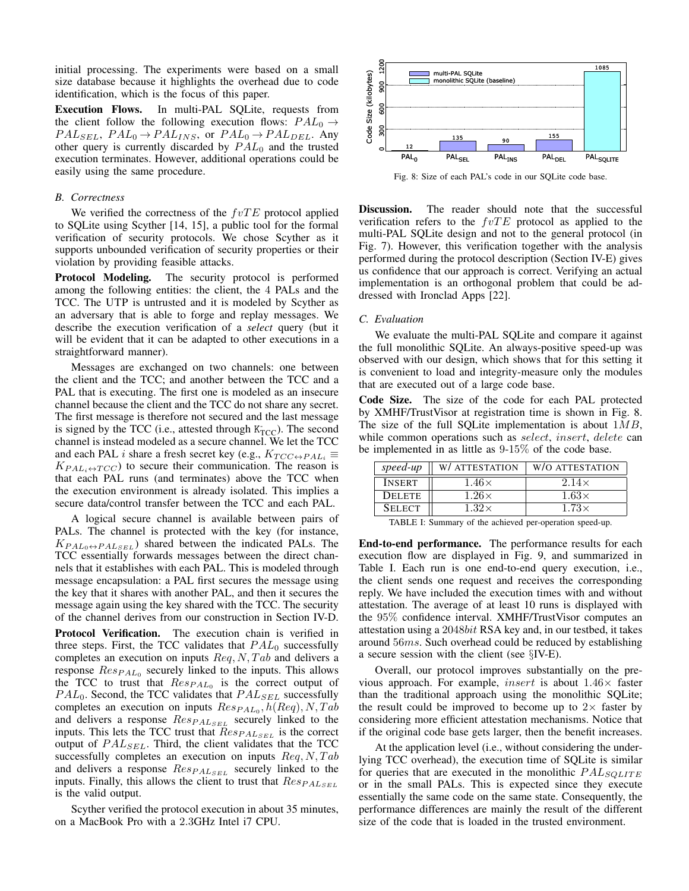initial processing. The experiments were based on a small size database because it highlights the overhead due to code identification, which is the focus of this paper.

Execution Flows. In multi-PAL SQLite, requests from the client follow the following execution flows:  $PAL_0 \rightarrow$  $PAL<sub>SEL</sub>, PAL<sub>0</sub> \rightarrow PAL<sub>INS</sub>$ , or  $PAL<sub>0</sub> \rightarrow PAL<sub>DEL</sub>$ . Any other query is currently discarded by  $PAL_0$  and the trusted execution terminates. However, additional operations could be easily using the same procedure.

#### *B. Correctness*

We verified the correctness of the  $fvTE$  protocol applied to SQLite using Scyther [14, 15], a public tool for the formal verification of security protocols. We chose Scyther as it supports unbounded verification of security properties or their violation by providing feasible attacks.

Protocol Modeling. The security protocol is performed among the following entities: the client, the 4 PALs and the TCC. The UTP is untrusted and it is modeled by Scyther as an adversary that is able to forge and replay messages. We describe the execution verification of a *select* query (but it will be evident that it can be adapted to other executions in a straightforward manner).

Messages are exchanged on two channels: one between the client and the TCC; and another between the TCC and a PAL that is executing. The first one is modeled as an insecure channel because the client and the TCC do not share any secret. The first message is therefore not secured and the last message is signed by the TCC (i.e., attested through  $K<sub>TCC</sub>$ ). The second channel is instead modeled as a secure channel. We let the TCC and each PAL *i* share a fresh secret key (e.g.,  $K_{TCC \leftrightarrow PAL_i} \equiv$  $K_{PAL_i \leftrightarrow TCC}$ ) to secure their communication. The reason is that each PAL runs (and terminates) above the TCC when the execution environment is already isolated. This implies a secure data/control transfer between the TCC and each PAL.

A logical secure channel is available between pairs of PALs. The channel is protected with the key (for instance,  $K_{PAL_0\leftrightarrow PAL_{SEL}}$ ) shared between the indicated PALs. The TCC essentially forwards messages between the direct channels that it establishes with each PAL. This is modeled through message encapsulation: a PAL first secures the message using the key that it shares with another PAL, and then it secures the message again using the key shared with the TCC. The security of the channel derives from our construction in Section IV-D.

Protocol Verification. The execution chain is verified in three steps. First, the TCC validates that  $PAL_0$  successfully completes an execution on inputs  $\text{Re}q$ ,  $N$ ,  $\text{Tab}$  and delivers a response  $Res_{PAL_0}$  securely linked to the inputs. This allows the TCC to trust that  $Res_{PAL_0}$  is the correct output of  $PAL<sub>0</sub>$ . Second, the TCC validates that  $PAL<sub>SEL</sub>$  successfully completes an execution on inputs  $Res_{PAL_0}$ ,  $h(Req)$ ,  $N$ ,  $Tab$ and delivers a response  $Res_{PALSEL}$  securely linked to the inputs. This lets the TCC trust that  $Res_{PAL_{SEL}}$  is the correct output of  $PAL_{SEL}$ . Third, the client validates that the TCC successfully completes an execution on inputs  $Req, N, Tab$ and delivers a response  $Res_{PALSEL}$  securely linked to the inputs. Finally, this allows the client to trust that  $Res_{PAL_{SEL}}$ is the valid output.

Scyther verified the protocol execution in about 35 minutes, on a MacBook Pro with a 2.3GHz Intel i7 CPU.



Fig. 8: Size of each PAL's code in our SQLite code base.

Discussion. The reader should note that the successful verification refers to the  $fvTE$  protocol as applied to the multi-PAL SQLite design and not to the general protocol (in Fig. 7). However, this verification together with the analysis performed during the protocol description (Section IV-E) gives us confidence that our approach is correct. Verifying an actual implementation is an orthogonal problem that could be addressed with Ironclad Apps [22].

#### *C. Evaluation*

We evaluate the multi-PAL SQLite and compare it against the full monolithic SQLite. An always-positive speed-up was observed with our design, which shows that for this setting it is convenient to load and integrity-measure only the modules that are executed out of a large code base.

Code Size. The size of the code for each PAL protected by XMHF/TrustVisor at registration time is shown in Fig. 8. The size of the full SQLite implementation is about  $1MB$ , while common operations such as *select*, *insert*, *delete* can be implemented in as little as 9-15% of the code base.

| $speed-up$    | W/ ATTESTATION | W/O ATTESTATION |
|---------------|----------------|-----------------|
| <b>INSERT</b> | $1.46\times$   | $2.14\times$    |
| <b>DELETE</b> | $1.26\times$   | $1.63\times$    |
| <b>SELECT</b> | $1.32\times$   | $1.73\times$    |

TABLE I: Summary of the achieved per-operation speed-up.

End-to-end performance. The performance results for each execution flow are displayed in Fig. 9, and summarized in Table I. Each run is one end-to-end query execution, i.e., the client sends one request and receives the corresponding reply. We have included the execution times with and without attestation. The average of at least 10 runs is displayed with the 95% confidence interval. XMHF/TrustVisor computes an attestation using a 2048bit RSA key and, in our testbed, it takes around 56ms. Such overhead could be reduced by establishing a secure session with the client (see §IV-E).

Overall, our protocol improves substantially on the previous approach. For example, *insert* is about  $1.46\times$  faster than the traditional approach using the monolithic SQLite; the result could be improved to become up to  $2\times$  faster by considering more efficient attestation mechanisms. Notice that if the original code base gets larger, then the benefit increases.

At the application level (i.e., without considering the underlying TCC overhead), the execution time of SQLite is similar for queries that are executed in the monolithic  $PAL_{SQLITE}$ or in the small PALs. This is expected since they execute essentially the same code on the same state. Consequently, the performance differences are mainly the result of the different size of the code that is loaded in the trusted environment.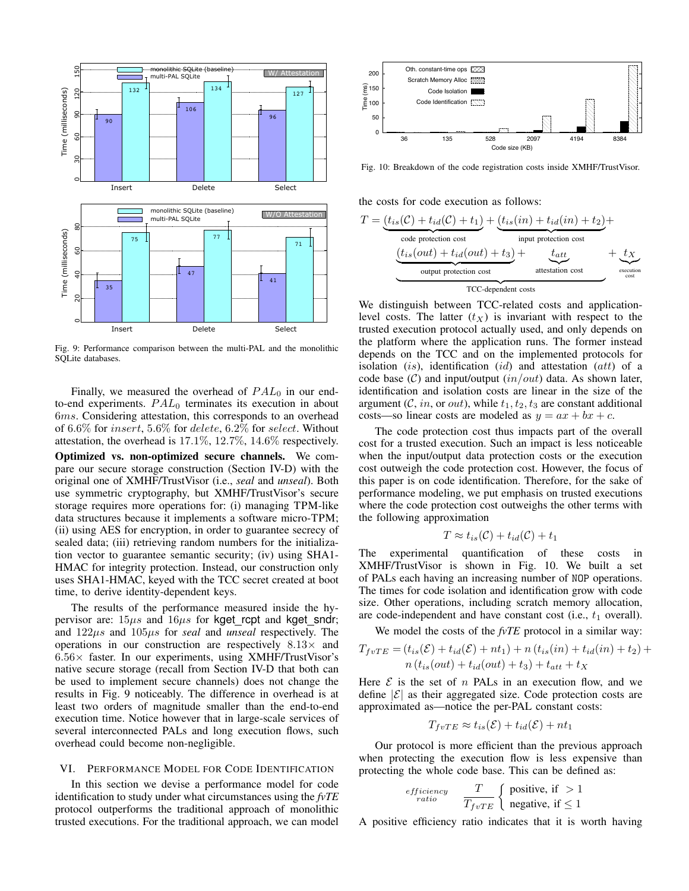

Fig. 9: Performance comparison between the multi-PAL and the monolithic SQLite databases.

Finally, we measured the overhead of  $PAL<sub>0</sub>$  in our endto-end experiments.  $PAL_0$  terminates its execution in about 6ms. Considering attestation, this corresponds to an overhead of 6.6% for insert, 5.6% for delete, 6.2% for select. Without attestation, the overhead is 17.1%, 12.7%, 14.6% respectively.

Optimized vs. non-optimized secure channels. We compare our secure storage construction (Section IV-D) with the original one of XMHF/TrustVisor (i.e., *seal* and *unseal*). Both use symmetric cryptography, but XMHF/TrustVisor's secure storage requires more operations for: (i) managing TPM-like data structures because it implements a software micro-TPM; (ii) using AES for encryption, in order to guarantee secrecy of sealed data; (iii) retrieving random numbers for the initialization vector to guarantee semantic security; (iv) using SHA1- HMAC for integrity protection. Instead, our construction only uses SHA1-HMAC, keyed with the TCC secret created at boot time, to derive identity-dependent keys.

The results of the performance measured inside the hypervisor are:  $15\mu s$  and  $16\mu s$  for kget rcpt and kget sndr; and 122µs and 105µs for *seal* and *unseal* respectively. The operations in our construction are respectively  $8.13\times$  and  $6.56\times$  faster. In our experiments, using XMHF/TrustVisor's native secure storage (recall from Section IV-D that both can be used to implement secure channels) does not change the results in Fig. 9 noticeably. The difference in overhead is at least two orders of magnitude smaller than the end-to-end execution time. Notice however that in large-scale services of several interconnected PALs and long execution flows, such overhead could become non-negligible.

# VI. PERFORMANCE MODEL FOR CODE IDENTIFICATION

In this section we devise a performance model for code identification to study under what circumstances using the *fvTE* protocol outperforms the traditional approach of monolithic trusted executions. For the traditional approach, we can model



Fig. 10: Breakdown of the code registration costs inside XMHF/TrustVisor.

the costs for code execution as follows:

$$
T = \underbrace{(t_{is}(C) + t_{id}(C) + t_1)}_{code\ price}
$$

We distinguish between TCC-related costs and applicationlevel costs. The latter  $(t_X)$  is invariant with respect to the trusted execution protocol actually used, and only depends on the platform where the application runs. The former instead depends on the TCC and on the implemented protocols for isolation  $(is)$ , identification  $(id)$  and attestation  $(att)$  of a code base  $(C)$  and input/output  $(in/out)$  data. As shown later, identification and isolation costs are linear in the size of the argument (C, in, or out), while  $t_1, t_2, t_3$  are constant additional costs—so linear costs are modeled as  $y = ax + bx + c$ .

The code protection cost thus impacts part of the overall cost for a trusted execution. Such an impact is less noticeable when the input/output data protection costs or the execution cost outweigh the code protection cost. However, the focus of this paper is on code identification. Therefore, for the sake of performance modeling, we put emphasis on trusted executions where the code protection cost outweighs the other terms with the following approximation

$$
T \approx t_{is}(\mathcal{C}) + t_{id}(\mathcal{C}) + t_1
$$

The experimental quantification of these costs in XMHF/TrustVisor is shown in Fig. 10. We built a set of PALs each having an increasing number of NOP operations. The times for code isolation and identification grow with code size. Other operations, including scratch memory allocation, are code-independent and have constant cost (i.e.,  $t_1$  overall).

We model the costs of the *fvTE* protocol in a similar way:

$$
T_{fvTE} = (t_{is}(\mathcal{E}) + t_{id}(\mathcal{E}) + nt_1) + n(t_{is}(in) + t_{id}(in) + t_2) +
$$
  

$$
n(t_{is}(out) + t_{id}(out) + t_3) + t_{att} + t_X
$$

Here  $\mathcal E$  is the set of n PALs in an execution flow, and we define  $|\mathcal{E}|$  as their aggregated size. Code protection costs are approximated as—notice the per-PAL constant costs:

$$
T_{fvTE} \approx t_{is}(\mathcal{E}) + t_{id}(\mathcal{E}) + nt_1
$$

Our protocol is more efficient than the previous approach when protecting the execution flow is less expensive than protecting the whole code base. This can be defined as:

*efficiency* 
$$
\frac{T}{T_{fvTE}} \begin{cases} \text{positive, if } > 1\\ \text{negative, if } \leq 1 \end{cases}
$$

A positive efficiency ratio indicates that it is worth having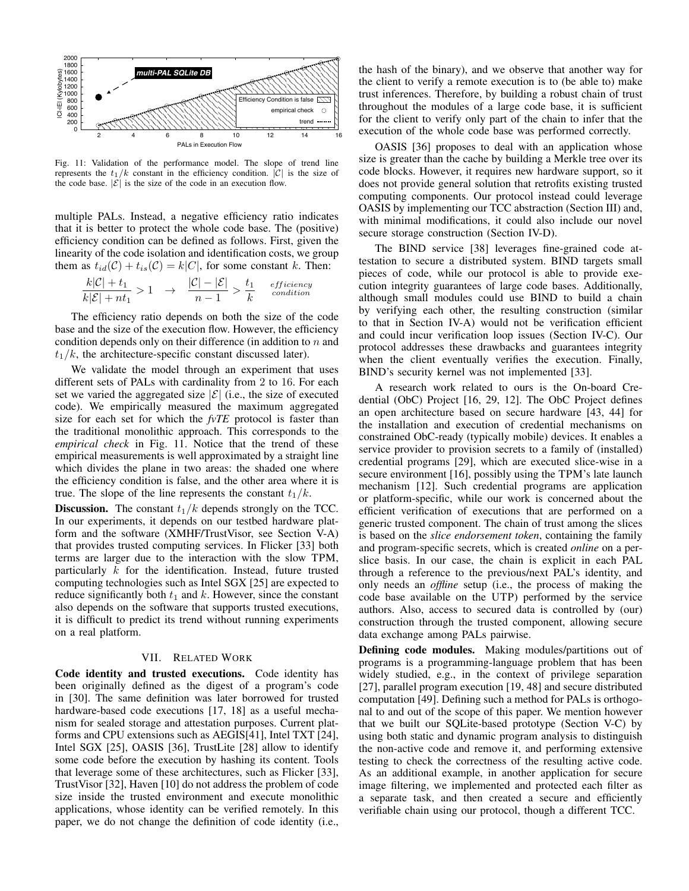

Fig. 11: Validation of the performance model. The slope of trend line represents the  $t_1/k$  constant in the efficiency condition.  $|C|$  is the size of the code base.  $|\mathcal{E}|$  is the size of the code in an execution flow.

multiple PALs. Instead, a negative efficiency ratio indicates that it is better to protect the whole code base. The (positive) efficiency condition can be defined as follows. First, given the linearity of the code isolation and identification costs, we group them as  $t_{id}(\mathcal{C}) + t_{is}(\mathcal{C}) = k|C|$ , for some constant k. Then:

$$
\frac{k|\mathcal{C}|+t_1}{k|\mathcal{E}|+nt_1} > 1 \quad \rightarrow \quad \frac{|\mathcal{C}|-|\mathcal{E}|}{n-1} > \frac{t_1}{k} \quad \stackrel{efficiency}{\text{condition}}
$$

The efficiency ratio depends on both the size of the code base and the size of the execution flow. However, the efficiency condition depends only on their difference (in addition to  $n$  and  $t_1/k$ , the architecture-specific constant discussed later).

We validate the model through an experiment that uses different sets of PALs with cardinality from 2 to 16. For each set we varied the aggregated size  $|\mathcal{E}|$  (i.e., the size of executed code). We empirically measured the maximum aggregated size for each set for which the *fvTE* protocol is faster than the traditional monolithic approach. This corresponds to the *empirical check* in Fig. 11. Notice that the trend of these empirical measurements is well approximated by a straight line which divides the plane in two areas: the shaded one where the efficiency condition is false, and the other area where it is true. The slope of the line represents the constant  $t_1/k$ .

**Discussion.** The constant  $t_1/k$  depends strongly on the TCC. In our experiments, it depends on our testbed hardware platform and the software (XMHF/TrustVisor, see Section V-A) that provides trusted computing services. In Flicker [33] both terms are larger due to the interaction with the slow TPM, particularly  $k$  for the identification. Instead, future trusted computing technologies such as Intel SGX [25] are expected to reduce significantly both  $t_1$  and k. However, since the constant also depends on the software that supports trusted executions, it is difficult to predict its trend without running experiments on a real platform.

# VII. RELATED WORK

Code identity and trusted executions. Code identity has been originally defined as the digest of a program's code in [30]. The same definition was later borrowed for trusted hardware-based code executions [17, 18] as a useful mechanism for sealed storage and attestation purposes. Current platforms and CPU extensions such as AEGIS[41], Intel TXT [24], Intel SGX [25], OASIS [36], TrustLite [28] allow to identify some code before the execution by hashing its content. Tools that leverage some of these architectures, such as Flicker [33], TrustVisor [32], Haven [10] do not address the problem of code size inside the trusted environment and execute monolithic applications, whose identity can be verified remotely. In this paper, we do not change the definition of code identity (i.e.,

the hash of the binary), and we observe that another way for the client to verify a remote execution is to (be able to) make trust inferences. Therefore, by building a robust chain of trust throughout the modules of a large code base, it is sufficient for the client to verify only part of the chain to infer that the execution of the whole code base was performed correctly.

OASIS [36] proposes to deal with an application whose size is greater than the cache by building a Merkle tree over its code blocks. However, it requires new hardware support, so it does not provide general solution that retrofits existing trusted computing components. Our protocol instead could leverage OASIS by implementing our TCC abstraction (Section III) and, with minimal modifications, it could also include our novel secure storage construction (Section IV-D).

The BIND service [38] leverages fine-grained code attestation to secure a distributed system. BIND targets small pieces of code, while our protocol is able to provide execution integrity guarantees of large code bases. Additionally, although small modules could use BIND to build a chain by verifying each other, the resulting construction (similar to that in Section IV-A) would not be verification efficient and could incur verification loop issues (Section IV-C). Our protocol addresses these drawbacks and guarantees integrity when the client eventually verifies the execution. Finally, BIND's security kernel was not implemented [33].

A research work related to ours is the On-board Credential (ObC) Project [16, 29, 12]. The ObC Project defines an open architecture based on secure hardware [43, 44] for the installation and execution of credential mechanisms on constrained ObC-ready (typically mobile) devices. It enables a service provider to provision secrets to a family of (installed) credential programs [29], which are executed slice-wise in a secure environment [16], possibly using the TPM's late launch mechanism [12]. Such credential programs are application or platform-specific, while our work is concerned about the efficient verification of executions that are performed on a generic trusted component. The chain of trust among the slices is based on the *slice endorsement token*, containing the family and program-specific secrets, which is created *online* on a perslice basis. In our case, the chain is explicit in each PAL through a reference to the previous/next PAL's identity, and only needs an *offline* setup (i.e., the process of making the code base available on the UTP) performed by the service authors. Also, access to secured data is controlled by (our) construction through the trusted component, allowing secure data exchange among PALs pairwise.

Defining code modules. Making modules/partitions out of programs is a programming-language problem that has been widely studied, e.g., in the context of privilege separation [27], parallel program execution [19, 48] and secure distributed computation [49]. Defining such a method for PALs is orthogonal to and out of the scope of this paper. We mention however that we built our SQLite-based prototype (Section V-C) by using both static and dynamic program analysis to distinguish the non-active code and remove it, and performing extensive testing to check the correctness of the resulting active code. As an additional example, in another application for secure image filtering, we implemented and protected each filter as a separate task, and then created a secure and efficiently verifiable chain using our protocol, though a different TCC.